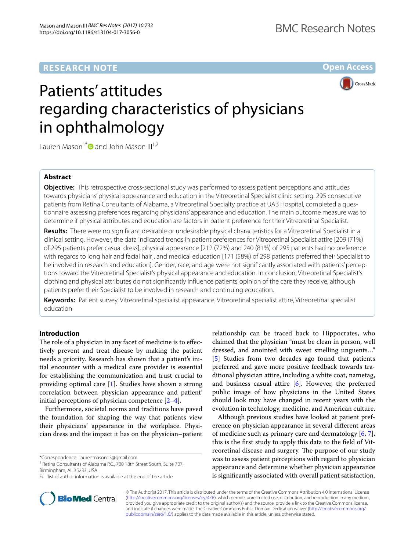**Open Access**



# Patients' attitudes regarding characteristics of physicians in ophthalmology

Lauren Mason<sup>1\*</sup> $\bullet$  and John Mason III<sup>1,2</sup>

# **Abstract**

**Objective:** This retrospective cross-sectional study was performed to assess patient perceptions and attitudes towards physicians' physical appearance and education in the Vitreoretinal Specialist clinic setting. 295 consecutive patients from Retina Consultants of Alabama, a Vitreoretinal Specialty practice at UAB Hospital, completed a questionnaire assessing preferences regarding physicians' appearance and education. The main outcome measure was to determine if physical attributes and education are factors in patient preference for their Vitreoretinal Specialist.

**Results:** There were no signifcant desirable or undesirable physical characteristics for a Vitreoretinal Specialist in a clinical setting. However, the data indicated trends in patient preferences for Vitreoretinal Specialist attire [209 (71%) of 295 patients prefer casual dress], physical appearance [212 (72%) and 240 (81%) of 295 patients had no preference with regards to long hair and facial hair], and medical education [171 (58%) of 298 patients preferred their Specialist to be involved in research and education]. Gender, race, and age were not signifcantly associated with patients' perceptions toward the Vitreoretinal Specialist's physical appearance and education. In conclusion, Vitreoretinal Specialist's clothing and physical attributes do not signifcantly infuence patients' opinion of the care they receive, although patients prefer their Specialist to be involved in research and continuing education.

**Keywords:** Patient survey, Vitreoretinal specialist appearance, Vitreoretinal specialist attire, Vitreoretinal specialist education

# **Introduction**

The role of a physician in any facet of medicine is to effectively prevent and treat disease by making the patient needs a priority. Research has shown that a patient's initial encounter with a medical care provider is essential for establishing the communication and trust crucial to providing optimal care [[1\]](#page-5-0). Studies have shown a strong correlation between physician appearance and patient' initial perceptions of physician competence  $[2-4]$  $[2-4]$  $[2-4]$ .

Furthermore, societal norms and traditions have paved the foundation for shaping the way that patients view their physicians' appearance in the workplace. Physician dress and the impact it has on the physician–patient

\*Correspondence: laurenmason13@gmail.com

<sup>1</sup> Retina Consultants of Alabama P.C., 700 18th Street South, Suite 707, Birmingham, AL 35233, USA

relationship can be traced back to Hippocrates, who claimed that the physician "must be clean in person, well dressed, and anointed with sweet smelling unguents…" [[5\]](#page-5-3) Studies from two decades ago found that patients preferred and gave more positive feedback towards traditional physician attire, including a white coat, nametag, and business casual attire  $[6]$  $[6]$ . However, the preferred public image of how physicians in the United States should look may have changed in recent years with the evolution in technology, medicine, and American culture.

Although previous studies have looked at patient preference on physician appearance in several diferent areas of medicine such as primary care and dermatology  $[6, 7]$  $[6, 7]$  $[6, 7]$  $[6, 7]$  $[6, 7]$ , this is the frst study to apply this data to the feld of Vitreoretinal disease and surgery. The purpose of our study was to assess patient perceptions with regard to physician appearance and determine whether physician appearance is signifcantly associated with overall patient satisfaction.



© The Author(s) 2017. This article is distributed under the terms of the Creative Commons Attribution 4.0 International License [\(http://creativecommons.org/licenses/by/4.0/\)](http://creativecommons.org/licenses/by/4.0/), which permits unrestricted use, distribution, and reproduction in any medium, provided you give appropriate credit to the original author(s) and the source, provide a link to the Creative Commons license, and indicate if changes were made. The Creative Commons Public Domain Dedication waiver ([http://creativecommons.org/](http://creativecommons.org/publicdomain/zero/1.0/) [publicdomain/zero/1.0/](http://creativecommons.org/publicdomain/zero/1.0/)) applies to the data made available in this article, unless otherwise stated.

Full list of author information is available at the end of the article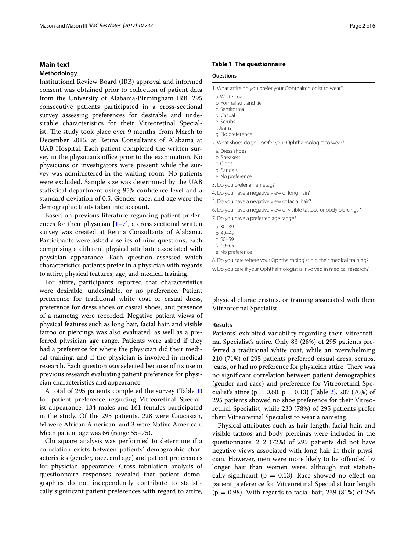# **Main text**

## **Methodology**

Institutional Review Board (IRB) approval and informed consent was obtained prior to collection of patient data from the University of Alabama-Birmingham IRB. 295 consecutive patients participated in a cross-sectional survey assessing preferences for desirable and undesirable characteristics for their Vitreoretinal Specialist. The study took place over 9 months, from March to December 2015, at Retina Consultants of Alabama at UAB Hospital. Each patient completed the written survey in the physician's office prior to the examination. No physicians or investigators were present while the survey was administered in the waiting room. No patients were excluded. Sample size was determined by the UAB statistical department using 95% confdence level and a standard deviation of 0.5. Gender, race, and age were the demographic traits taken into account.

Based on previous literature regarding patient preferences for their physician  $[1–7]$  $[1–7]$  $[1–7]$ , a cross sectional written survey was created at Retina Consultants of Alabama. Participants were asked a series of nine questions, each comprising a diferent physical attribute associated with physician appearance. Each question assessed which characteristics patients prefer in a physician with regards to attire, physical features, age, and medical training.

For attire, participants reported that characteristics were desirable, undesirable, or no preference. Patient preference for traditional white coat or casual dress, preference for dress shoes or casual shoes, and presence of a nametag were recorded. Negative patient views of physical features such as long hair, facial hair, and visible tattoo or piercings was also evaluated, as well as a preferred physician age range. Patients were asked if they had a preference for where the physician did their medical training, and if the physician is involved in medical research. Each question was selected because of its use in previous research evaluating patient preference for physician characteristics and appearance.

A total of 295 patients completed the survey (Table [1](#page-1-0)) for patient preference regarding Vitreoretinal Specialist appearance. 134 males and 161 females participated in the study. Of the 295 patients, 228 were Caucasian, 64 were African American, and 3 were Native American. Mean patient age was 66 (range 55–75).

Chi square analysis was performed to determine if a correlation exists between patients' demographic characteristics (gender, race, and age) and patient preferences for physician appearance. Cross tabulation analysis of questionnaire responses revealed that patient demographics do not independently contribute to statistically signifcant patient preferences with regard to attire,

#### <span id="page-1-0"></span>**Table 1 The questionnaire**

# **Questions**

- a. White coat
- b. Formal suit and tie
- c. Semiformal d. Casual
- e. Scrubs
- f. Jeans
- g. No preference
- 2. What shoes do you prefer your Ophthalmologist to wear?
- a. Dress shoes
- b. Sneakers
- c. Clogs
- d. Sandals
- e. No preference
- 3. Do you prefer a nametag?
- 4. Do you have a negative view of long hair?
- 5. Do you have a negative view of facial hair?
- 6. Do you have a negative view of visible tattoos or body piercings?
- 7. Do you have a preferred age range?
- a. 30–39
- b. 40–49
- c. 50–59
- d. 60–69
- e. No preference

8. Do you care where your Ophthalmologist did their medical training?

9. Do you care if your Ophthalmologist is involved in medical research?

physical characteristics, or training associated with their Vitreoretinal Specialist.

#### **Results**

Patients' exhibited variability regarding their Vitreoretinal Specialist's attire. Only 83 (28%) of 295 patients preferred a traditional white coat, while an overwhelming 210 (71%) of 295 patients preferred casual dress, scrubs, jeans, or had no preference for physician attire. There was no signifcant correlation between patient demographics (gender and race) and preference for Vitreoretinal Specialist's attire ( $p = 0.60$ ,  $p = 0.13$ ) (Table [2](#page-2-0)). 207 (70%) of 295 patients showed no shoe preference for their Vitreoretinal Specialist, while 230 (78%) of 295 patients prefer their Vitreoretinal Specialist to wear a nametag.

Physical attributes such as hair length, facial hair, and visible tattoos and body piercings were included in the questionnaire. 212 (72%) of 295 patients did not have negative views associated with long hair in their physician. However, men were more likely to be ofended by longer hair than women were, although not statistically significant ( $p = 0.13$ ). Race showed no effect on patient preference for Vitreoretinal Specialist hair length  $(p = 0.98)$ . With regards to facial hair, 239 (81%) of 295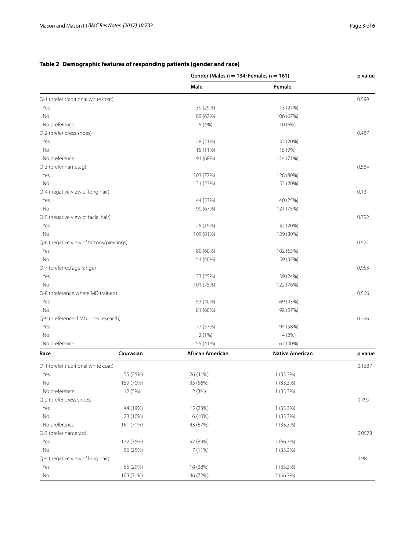# **Gender (Males n = 134; Females n = 161) p value Male Female** Q-1 (prefer traditional white coat) 0.599 Yes 39 (29%) 43 (27%) No 89 (67%) 106 (67%) No preference 10 (6%)  $5(4\%)$  10 (6%) Q-2 (prefer dress shoes) 0.487 Yes 28 (21%) 32 (20%) No 15 (9%) 15 (9%) 15 (9%) No preference 114 (71%) 114 (71%) Q-3 (prefer nametag) 0.584 Yes 103 (77%) 128 (80%) No  $31 (23%)$   $33 (20%)$ Q-4 (negative view of long hair) 0.13 Yes 44 (33%) 40 (25%) No 90 (67%) 121 (75%) Q-5 (negative view of facial hair) 0.792 Yes 25 (19%) 32 (20%) No 109 (81%) 129 (80%) Q-6 (negative view of tattoos/piercings) 0.521 Yes 80 (60%) 102 (63%) No 54 (40%) 59 (37%) Q-7 (preferred age range) 0.953 Yes 33 (25%) 39 (24%) No 101 (75%) 122 (76%) Q-8 (preference where MD trained) 0.566 Yes 69 (43%) 69 (43%) 69 (43%) 69 (43%) 69 (43%) No 81 (60%) 81 (60%) 92 (57%) Q-9 (preference if MD does research) 0.726 Yes 77 (57%) 94 (58%) No  $2(1\%)$  4 (2%) No preference 62 (40%) 62 (40%) 62 (40%) 62 (40%) 62 (40%) 62 (40%) 62 (40%) 62 (40%) 62 (40%) 62 (5 Yes 55 (25%) 26 (41%) 1 (33.3%) No 159 (70%) 35 (56%) 36 (56%) 1 (33.3%) No preference 12 (5%) 2 (3%) 2 (3%) 2 (3%) 1 (33.3%) Q-2 (prefer dress shoes) 0.799 Yes 44 (19%) 15 (23%) 1 (33.3%) No 23 (10%) 6 (10%) 6 (10%) 6 (10%) 1 (33.3%) No preference 161 (71%) 1 (33.3%) 43 (67%) 1 (33.3%)

# <span id="page-2-0"></span>**Table 2 Demographic features of responding patients (gender and race)**

| <b>TIO DICICILILE</b>               |           | JJ (TI /U)              | $UZ$ (TV /V)           |         |
|-------------------------------------|-----------|-------------------------|------------------------|---------|
| Race                                | Caucasian | <b>African American</b> | <b>Native American</b> | p value |
| Q-1 (prefer traditional white coat) |           |                         |                        |         |
| Yes                                 | 55 (25%)  | 26 (41%)                | $1(33.3\%)$            |         |
| No                                  | 159 (70%) | 35 (56%)                | $1(33.3\%)$            |         |
| No preference                       | 12 (5%)   | 2(3%)                   | $1(33.3\%)$            |         |
| Q-2 (prefer dress shoes)            |           |                         |                        |         |
| Yes                                 | 44 (19%)  | 15 (23%)                | $1(33.3\%)$            |         |
| No                                  | 23 (10%)  | $6(10\%)$               | $1(33.3\%)$            |         |
| No preference                       | 161 (71%) | 43 (67%)                | $1(33.3\%)$            |         |
| Q-3 (prefer nametag)                |           |                         |                        | 0.0578  |
| Yes                                 | 172 (75%) | 57 (89%)                | 2(66.7%)               |         |
| <b>No</b>                           | 56 (25%)  | 7(11%)                  | $1(33.3\%)$            |         |
| Q-4 (negative view of long hair)    |           |                         |                        |         |
| Yes                                 | 65 (29%)  | 18 (28%)                | $1(33.3\%)$            |         |
| No                                  | 163 (71%) | 46 (72%)                | 2(66.7%)               |         |
|                                     |           |                         |                        |         |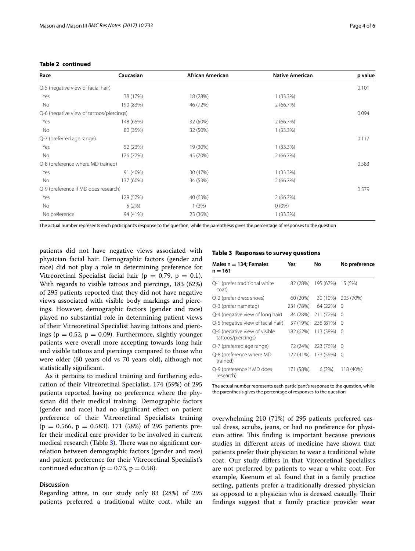| Race                                     | Caucasian | African American | <b>Native American</b> | p value |
|------------------------------------------|-----------|------------------|------------------------|---------|
| Q-5 (negative view of facial hair)       |           |                  |                        |         |
| Yes                                      | 38 (17%)  | 18 (28%)         | $1(33.3\%)$            |         |
| No.                                      | 190 (83%) | 46 (72%)         | 2(66.7%)               |         |
| Q-6 (negative view of tattoos/piercings) |           |                  |                        |         |
| Yes                                      | 148 (65%) | 32 (50%)         | 2(66.7%)               |         |
| No.                                      | 80 (35%)  | 32 (50%)         | $1(33.3\%)$            |         |
| Q-7 (preferred age range)                |           |                  |                        |         |
| Yes                                      | 52 (23%)  | 19 (30%)         | $1(33.3\%)$            |         |
| No.                                      | 176 (77%) | 45 (70%)         | 2(66.7%)               |         |
| Q-8 (preference where MD trained)        |           |                  |                        |         |
| Yes                                      | 91 (40%)  | 30 (47%)         | $1(33.3\%)$            |         |

No 137 (60%) 34 (53%) 34 (53%) 2 (66.7%)

Yes 129 (57%) 40 (63%) 2 (66.7%) No 6 (0%) 5 (2%) 1 (2%) 6 (0%) No preference  $94 (41\%)$  23 (36%) 1 (33.3%)

# **Table 2 continued**

The actual number represents each participant's response to the question, while the parenthesis gives the percentage of responses to the question

Q-9 (preference if MD does research) 0.579

patients did not have negative views associated with physician facial hair. Demographic factors (gender and race) did not play a role in determining preference for Vitreoretinal Specialist facial hair ( $p = 0.79$ ,  $p = 0.1$ ). With regards to visible tattoos and piercings, 183 (62%) of 295 patients reported that they did not have negative views associated with visible body markings and piercings. However, demographic factors (gender and race) played no substantial role in determining patient views of their Vitreoretinal Specialist having tattoos and piercings ( $p = 0.52$ ,  $p = 0.09$ ). Furthermore, slightly younger patients were overall more accepting towards long hair and visible tattoos and piercings compared to those who were older (60 years old vs 70 years old), although not statistically signifcant.

As it pertains to medical training and furthering education of their Vitreoretinal Specialist, 174 (59%) of 295 patients reported having no preference where the physician did their medical training. Demographic factors (gender and race) had no signifcant efect on patient preference of their Vitreoretinal Specialists training  $(p = 0.566, p = 0.583)$ . 171 (58%) of 295 patients prefer their medical care provider to be involved in current medical research (Table [3](#page-3-0)). There was no significant correlation between demographic factors (gender and race) and patient preference for their Vitreoretinal Specialist's continued education ( $p = 0.73$ ,  $p = 0.58$ ).

## **Discussion**

Regarding attire, in our study only 83 (28%) of 295 patients preferred a traditional white coat, while an

#### <span id="page-3-0"></span>**Table 3 Responses to survey questions**

| Males n = 134; Females<br>n = 161                   | Yes       | No                         | No preference      |
|-----------------------------------------------------|-----------|----------------------------|--------------------|
| Q-1 (prefer traditional white<br>coat)              |           | 82 (28%) 195 (67%) 15 (5%) |                    |
| Q-2 (prefer dress shoes)                            | 60 (20%)  |                            | 30 (10%) 205 (70%) |
| Q-3 (prefer nametag)                                | 231 (78%) | 64 (22%)                   | 0                  |
| Q-4 (negative view of long hair)                    | 84 (28%)  | 211 (72%)                  | $\Omega$           |
| Q-5 (negative view of facial hair)                  | 57 (19%)  | 238 (81%)                  | $\Omega$           |
| Q-6 (negative view of visible<br>tattoos/piercings) |           | 182 (62%) 113 (38%)        | 0                  |
| Q-7 (preferred age range)                           |           | 72 (24%) 223 (76%)         | $\Omega$           |
| Q-8 (preference where MD<br>trained)                |           | 122 (41%) 173 (59%)        | 0                  |
| Q-9 (preference if MD does<br>research)             | 171 (58%) | 6(2%)                      | 118 (40%)          |

The actual number represents each participant's response to the question, while the parenthesis gives the percentage of responses to the question

overwhelming 210 (71%) of 295 patients preferred casual dress, scrubs, jeans, or had no preference for physician attire. This finding is important because previous studies in diferent areas of medicine have shown that patients prefer their physician to wear a traditional white coat. Our study difers in that Vitreoretinal Specialists are not preferred by patients to wear a white coat. For example, Keenum et al. found that in a family practice setting, patients prefer a traditionally dressed physician as opposed to a physician who is dressed casually. Their fndings suggest that a family practice provider wear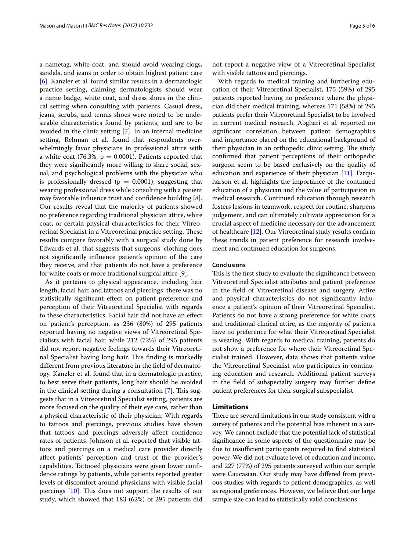a nametag, white coat, and should avoid wearing clogs, sandals, and jeans in order to obtain highest patient care [[6\]](#page-5-4). Kanzler et al. found similar results in a dermatologic practice setting, claiming dermatologists should wear a name badge, white coat, and dress shoes in the clinical setting when consulting with patients. Casual dress, jeans, scrubs, and tennis shoes were noted to be undesirable characteristics found by patients, and are to be avoided in the clinic setting [[7\]](#page-5-5). In an internal medicine setting, Rehman et al. found that respondents overwhelmingly favor physicians in professional attire with a white coat (76.3%,  $p = 0.0001$ ). Patients reported that they were signifcantly more willing to share social, sexual, and psychological problems with the physician who is professionally dressed ( $p = 0.0001$ ), suggesting that wearing professional dress while consulting with a patient may favorable infuence trust and confdence building [\[8](#page-5-6)]. Our results reveal that the majority of patients showed no preference regarding traditional physician attire, white coat, or certain physical characteristics for their Vitreoretinal Specialist in a Vitreoretinal practice setting. These results compare favorably with a surgical study done by Edwards et al. that suggests that surgeons' clothing does not signifcantly infuence patient's opinion of the care they receive, and that patients do not have a preference for white coats or more traditional surgical attire [\[9](#page-5-7)].

As it pertains to physical appearance, including hair length, facial hair, and tattoos and piercings, there was no statistically signifcant efect on patient preference and perception of their Vitreoretinal Specialist with regards to these characteristics. Facial hair did not have an efect on patient's perception, as 236 (80%) of 295 patients reported having no negative views of Vitreoretinal Specialists with facial hair, while 212 (72%) of 295 patients did not report negative feelings towards their Vitreoretinal Specialist having long hair. This finding is markedly diferent from previous literature in the feld of dermatology. Kanzler et al. found that in a dermatologic practice, to best serve their patients, long hair should be avoided in the clinical setting during a consultation  $[7]$  $[7]$ . This suggests that in a Vitreoretinal Specialist setting, patients are more focused on the quality of their eye care, rather than a physical characteristic of their physician. With regards to tattoos and piercings, previous studies have shown that tattoos and piercings adversely affect confidence rates of patients. Johnson et al. reported that visible tattoos and piercings on a medical care provider directly afect patients' perception and trust of the provider's capabilities. Tattooed physicians were given lower confdence ratings by patients, while patients reported greater levels of discomfort around physicians with visible facial piercings  $[10]$  $[10]$ . This does not support the results of our study, which showed that 183 (62%) of 295 patients did not report a negative view of a Vitreoretinal Specialist with visible tattoos and piercings.

With regards to medical training and furthering education of their Vitreoretinal Specialist, 175 (59%) of 295 patients reported having no preference where the physician did their medical training, whereas 171 (58%) of 295 patients prefer their Vitreoretinal Specialist to be involved in current medical research. Abghari et al. reported no signifcant correlation between patient demographics and importance placed on the educational background of their physician in an orthopedic clinic setting. The study confrmed that patient perceptions of their orthopedic surgeon seem to be based exclusively on the quality of education and experience of their physician [\[11\]](#page-5-9). Farquharson et al. highlights the importance of the continued education of a physician and the value of participation in medical research. Continued education through research fosters lessons in teamwork, respect for routine, sharpens judgement, and can ultimately cultivate appreciation for a crucial aspect of medicine necessary for the advancement of healthcare [[12](#page-5-10)]. Our Vitreoretinal study results confrm these trends in patient preference for research involvement and continued education for surgeons.

# **Conclusions**

This is the first study to evaluate the significance between Vitreoretinal Specialist attributes and patient preference in the feld of Vitreoretinal disease and surgery. Attire and physical characteristics do not signifcantly infuence a patient's opinion of their Vitreoretinal Specialist. Patients do not have a strong preference for white coats and traditional clinical attire, as the majority of patients have no preference for what their Vitreoretinal Specialist is wearing. With regards to medical training, patients do not show a preference for where their Vitreoretinal Specialist trained. However, data shows that patients value the Vitreoretinal Specialist who participates in continuing education and research. Additional patient surveys in the feld of subspecialty surgery may further defne patient preferences for their surgical subspecialist.

## **Limitations**

There are several limitations in our study consistent with a survey of patients and the potential bias inherent in a survey. We cannot exclude that the potential lack of statistical signifcance in some aspects of the questionnaire may be due to insufficient participants required to find statistical power. We did not evaluate level of education and income, and 227 (77%) of 295 patients surveyed within our sample were Caucasian. Our study may have difered from previous studies with regards to patient demographics, as well as regional preferences. However, we believe that our large sample size can lead to statistically valid conclusions.